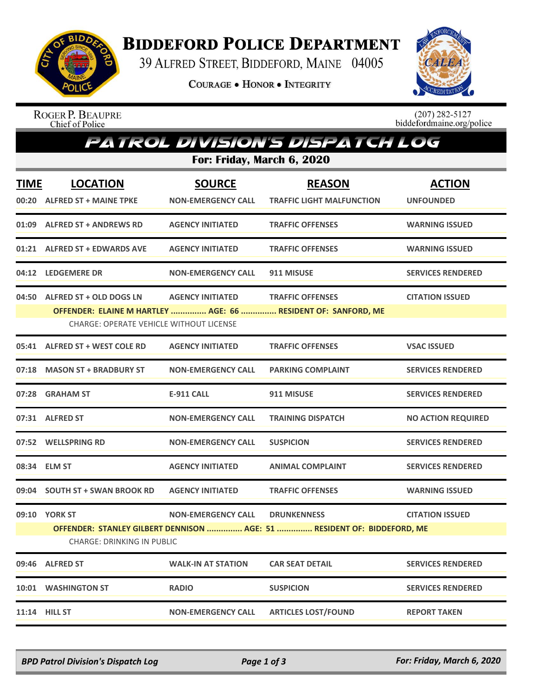

## **BIDDEFORD POLICE DEPARTMENT**

39 ALFRED STREET, BIDDEFORD, MAINE 04005

**COURAGE . HONOR . INTEGRITY** 



ROGER P. BEAUPRE<br>Chief of Police

 $(207)$  282-5127<br>biddefordmaine.org/police

## Patrol Division's Dispatch Log

**For: Friday, March 6, 2020**

| <b>TIME</b> | <b>LOCATION</b><br>00:20 ALFRED ST + MAINE TPKE                                 | <b>SOURCE</b><br><b>NON-EMERGENCY CALL</b> | <b>REASON</b><br><b>TRAFFIC LIGHT MALFUNCTION</b>                                             | <b>ACTION</b><br><b>UNFOUNDED</b> |
|-------------|---------------------------------------------------------------------------------|--------------------------------------------|-----------------------------------------------------------------------------------------------|-----------------------------------|
|             | 01:09 ALFRED ST + ANDREWS RD                                                    | <b>AGENCY INITIATED</b>                    | <b>TRAFFIC OFFENSES</b>                                                                       | <b>WARNING ISSUED</b>             |
|             | 01:21 ALFRED ST + EDWARDS AVE                                                   | <b>AGENCY INITIATED</b>                    | <b>TRAFFIC OFFENSES</b>                                                                       | <b>WARNING ISSUED</b>             |
|             | 04:12 LEDGEMERE DR                                                              | <b>NON-EMERGENCY CALL</b>                  | 911 MISUSE                                                                                    | <b>SERVICES RENDERED</b>          |
|             | 04:50 ALFRED ST + OLD DOGS LN<br><b>CHARGE: OPERATE VEHICLE WITHOUT LICENSE</b> | <b>AGENCY INITIATED</b>                    | <b>TRAFFIC OFFENSES</b><br>OFFENDER: ELAINE M HARTLEY  AGE: 66  RESIDENT OF: SANFORD, ME      | <b>CITATION ISSUED</b>            |
|             | 05:41 ALFRED ST + WEST COLE RD                                                  | <b>AGENCY INITIATED</b>                    | <b>TRAFFIC OFFENSES</b>                                                                       | <b>VSAC ISSUED</b>                |
|             | 07:18 MASON ST + BRADBURY ST                                                    | <b>NON-EMERGENCY CALL</b>                  | <b>PARKING COMPLAINT</b>                                                                      | <b>SERVICES RENDERED</b>          |
|             | 07:28 GRAHAM ST                                                                 | <b>E-911 CALL</b>                          | 911 MISUSE                                                                                    | <b>SERVICES RENDERED</b>          |
|             | 07:31 ALFRED ST                                                                 | <b>NON-EMERGENCY CALL</b>                  | <b>TRAINING DISPATCH</b>                                                                      | <b>NO ACTION REQUIRED</b>         |
|             | 07:52 WELLSPRING RD                                                             | <b>NON-EMERGENCY CALL</b>                  | <b>SUSPICION</b>                                                                              | <b>SERVICES RENDERED</b>          |
|             | 08:34 ELM ST                                                                    | <b>AGENCY INITIATED</b>                    | <b>ANIMAL COMPLAINT</b>                                                                       | <b>SERVICES RENDERED</b>          |
|             | 09:04 SOUTH ST + SWAN BROOK RD                                                  | <b>AGENCY INITIATED</b>                    | <b>TRAFFIC OFFENSES</b>                                                                       | <b>WARNING ISSUED</b>             |
|             | 09:10 YORK ST<br><b>CHARGE: DRINKING IN PUBLIC</b>                              | <b>NON-EMERGENCY CALL</b>                  | <b>DRUNKENNESS</b><br>OFFENDER: STANLEY GILBERT DENNISON  AGE: 51  RESIDENT OF: BIDDEFORD, ME | <b>CITATION ISSUED</b>            |
|             | 09:46 ALFRED ST                                                                 | <b>WALK-IN AT STATION</b>                  | <b>CAR SEAT DETAIL</b>                                                                        | <b>SERVICES RENDERED</b>          |
|             | 10:01 WASHINGTON ST                                                             | <b>RADIO</b>                               | <b>SUSPICION</b>                                                                              | <b>SERVICES RENDERED</b>          |
|             | 11:14 HILL ST                                                                   | <b>NON-EMERGENCY CALL</b>                  | <b>ARTICLES LOST/FOUND</b>                                                                    | <b>REPORT TAKEN</b>               |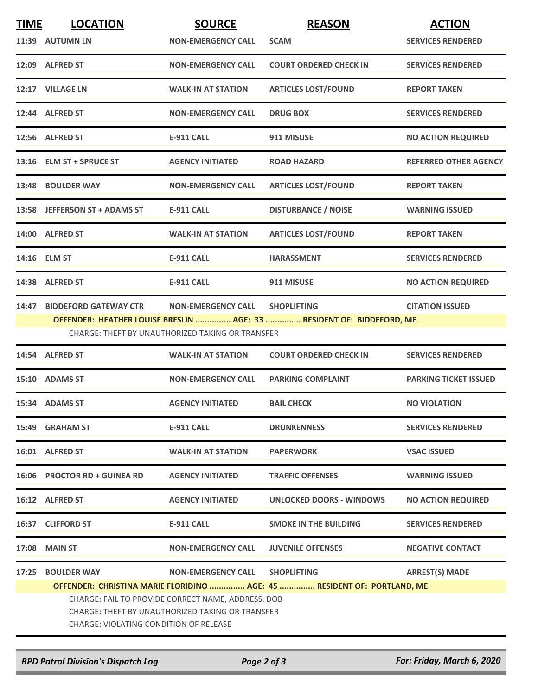| <b>TIME</b> | <b>LOCATION</b>                                                                                                                                         | <b>SOURCE</b>                                    | <b>REASON</b>                                                           | <b>ACTION</b>                |  |  |
|-------------|---------------------------------------------------------------------------------------------------------------------------------------------------------|--------------------------------------------------|-------------------------------------------------------------------------|------------------------------|--|--|
|             | 11:39 AUTUMN LN                                                                                                                                         | <b>NON-EMERGENCY CALL</b>                        | <b>SCAM</b>                                                             | <b>SERVICES RENDERED</b>     |  |  |
|             | 12:09 ALFRED ST                                                                                                                                         | <b>NON-EMERGENCY CALL</b>                        | <b>COURT ORDERED CHECK IN</b>                                           | <b>SERVICES RENDERED</b>     |  |  |
|             | 12:17 VILLAGE LN                                                                                                                                        | <b>WALK-IN AT STATION</b>                        | <b>ARTICLES LOST/FOUND</b>                                              | <b>REPORT TAKEN</b>          |  |  |
|             | 12:44 ALFRED ST                                                                                                                                         | <b>NON-EMERGENCY CALL</b>                        | <b>DRUG BOX</b>                                                         | <b>SERVICES RENDERED</b>     |  |  |
|             | 12:56 ALFRED ST                                                                                                                                         | <b>E-911 CALL</b>                                | 911 MISUSE                                                              | <b>NO ACTION REQUIRED</b>    |  |  |
|             | 13:16 ELM ST + SPRUCE ST                                                                                                                                | <b>AGENCY INITIATED</b>                          | <b>ROAD HAZARD</b>                                                      | REFERRED OTHER AGENCY        |  |  |
|             | 13:48 BOULDER WAY                                                                                                                                       | <b>NON-EMERGENCY CALL</b>                        | <b>ARTICLES LOST/FOUND</b>                                              | <b>REPORT TAKEN</b>          |  |  |
|             | 13:58 JEFFERSON ST + ADAMS ST                                                                                                                           | <b>E-911 CALL</b>                                | <b>DISTURBANCE / NOISE</b>                                              | <b>WARNING ISSUED</b>        |  |  |
|             | 14:00 ALFRED ST                                                                                                                                         | <b>WALK-IN AT STATION</b>                        | <b>ARTICLES LOST/FOUND</b>                                              | <b>REPORT TAKEN</b>          |  |  |
|             | 14:16 ELM ST                                                                                                                                            | <b>E-911 CALL</b>                                | <b>HARASSMENT</b>                                                       | <b>SERVICES RENDERED</b>     |  |  |
|             | 14:38 ALFRED ST                                                                                                                                         | <b>E-911 CALL</b>                                | 911 MISUSE                                                              | <b>NO ACTION REQUIRED</b>    |  |  |
| 14:47       | <b>BIDDEFORD GATEWAY CTR</b>                                                                                                                            | <b>NON-EMERGENCY CALL</b>                        | <b>SHOPLIFTING</b>                                                      | <b>CITATION ISSUED</b>       |  |  |
|             |                                                                                                                                                         |                                                  | OFFENDER: HEATHER LOUISE BRESLIN  AGE: 33  RESIDENT OF: BIDDEFORD, ME   |                              |  |  |
|             |                                                                                                                                                         | CHARGE: THEFT BY UNAUTHORIZED TAKING OR TRANSFER |                                                                         |                              |  |  |
|             | 14:54 ALFRED ST                                                                                                                                         | <b>WALK-IN AT STATION</b>                        | <b>COURT ORDERED CHECK IN</b>                                           | <b>SERVICES RENDERED</b>     |  |  |
|             | 15:10 ADAMS ST                                                                                                                                          | <b>NON-EMERGENCY CALL</b>                        | <b>PARKING COMPLAINT</b>                                                | <b>PARKING TICKET ISSUED</b> |  |  |
|             | 15:34 ADAMS ST                                                                                                                                          | <b>AGENCY INITIATED</b>                          | <b>BAIL CHECK</b>                                                       | <b>NO VIOLATION</b>          |  |  |
|             | 15:49 GRAHAM ST                                                                                                                                         | <b>E-911 CALL</b>                                | <b>DRUNKENNESS</b>                                                      | <b>SERVICES RENDERED</b>     |  |  |
|             | 16:01 ALFRED ST                                                                                                                                         | <b>WALK-IN AT STATION</b>                        | <b>PAPERWORK</b>                                                        | <b>VSAC ISSUED</b>           |  |  |
|             | 16:06 PROCTOR RD + GUINEA RD                                                                                                                            | <b>AGENCY INITIATED</b>                          | <b>TRAFFIC OFFENSES</b>                                                 | <b>WARNING ISSUED</b>        |  |  |
|             | 16:12 ALFRED ST                                                                                                                                         | <b>AGENCY INITIATED</b>                          | <b>UNLOCKED DOORS - WINDOWS</b>                                         | <b>NO ACTION REQUIRED</b>    |  |  |
|             | 16:37 CLIFFORD ST                                                                                                                                       | <b>E-911 CALL</b>                                | <b>SMOKE IN THE BUILDING</b>                                            | <b>SERVICES RENDERED</b>     |  |  |
| 17:08       | <b>MAIN ST</b>                                                                                                                                          | <b>NON-EMERGENCY CALL</b>                        | <b>JUVENILE OFFENSES</b>                                                | <b>NEGATIVE CONTACT</b>      |  |  |
| 17:25       | <b>BOULDER WAY</b>                                                                                                                                      | <b>NON-EMERGENCY CALL</b>                        | <b>SHOPLIFTING</b>                                                      | <b>ARREST(S) MADE</b>        |  |  |
|             |                                                                                                                                                         |                                                  | OFFENDER: CHRISTINA MARIE FLORIDINO  AGE: 45  RESIDENT OF: PORTLAND, ME |                              |  |  |
|             | CHARGE: FAIL TO PROVIDE CORRECT NAME, ADDRESS, DOB<br>CHARGE: THEFT BY UNAUTHORIZED TAKING OR TRANSFER<br><b>CHARGE: VIOLATING CONDITION OF RELEASE</b> |                                                  |                                                                         |                              |  |  |